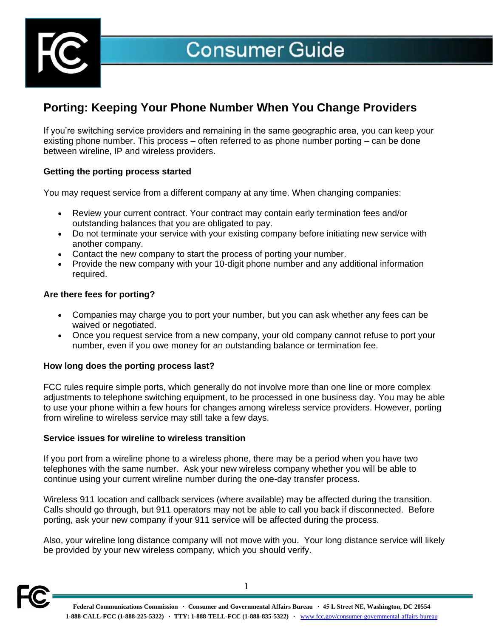

# **Consumer Guide**

# **Porting: Keeping Your Phone Number When You Change Providers**

If you're switching service providers and remaining in the same geographic area, you can keep your existing phone number. This process – often referred to as phone number porting – can be done between wireline, IP and wireless providers.

### **Getting the porting process started**

You may request service from a different company at any time. When changing companies:

- Review your current contract. Your contract may contain early termination fees and/or outstanding balances that you are obligated to pay.
- Do not terminate your service with your existing company before initiating new service with another company.
- Contact the new company to start the process of porting your number.
- Provide the new company with your 10-digit phone number and any additional information required.

#### **Are there fees for porting?**

- Companies may charge you to port your number, but you can ask whether any fees can be waived or negotiated.
- Once you request service from a new company, your old company cannot refuse to port your number, even if you owe money for an outstanding balance or termination fee.

#### **How long does the porting process last?**

FCC rules require simple ports, which generally do not involve more than one line or more complex adjustments to telephone switching equipment, to be processed in one business day. You may be able to use your phone within a few hours for changes among wireless service providers. However, porting from wireline to wireless service may still take a few days.

#### **Service issues for wireline to wireless transition**

If you port from a wireline phone to a wireless phone, there may be a period when you have two telephones with the same number. Ask your new wireless company whether you will be able to continue using your current wireline number during the one-day transfer process.

Wireless 911 location and callback services (where available) may be affected during the transition. Calls should go through, but 911 operators may not be able to call you back if disconnected. Before porting, ask your new company if your 911 service will be affected during the process.

Also, your wireline long distance company will not move with you. Your long distance service will likely be provided by your new wireless company, which you should verify.